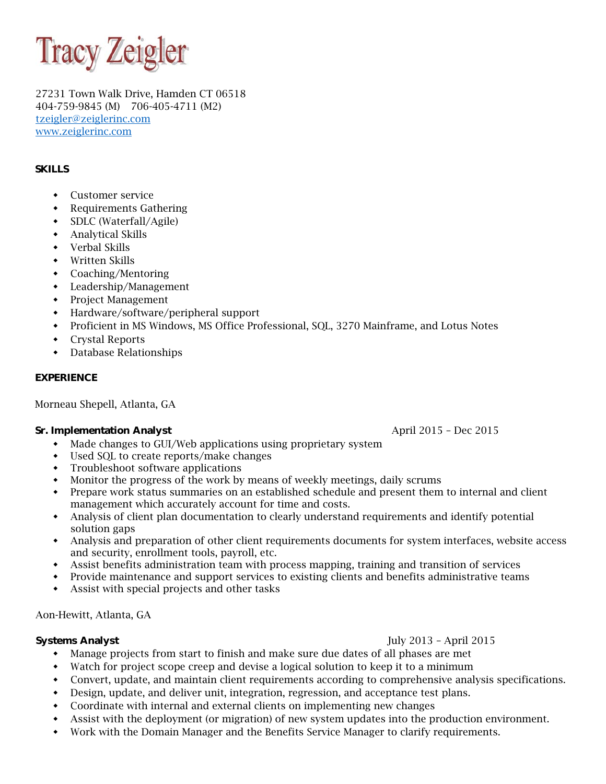

27231 Town Walk Drive, Hamden CT 06518 404-759-9845 (M) 706-405-4711 (M2) tzeigler@zeiglerinc.com www.zeiglerinc.com

# **SKILLS**

- Customer service
- Requirements Gathering
- SDLC (Waterfall/Agile)
- Analytical Skills
- Verbal Skills
- Written Skills
- Coaching/Mentoring
- Leadership/Management
- Project Management
- Hardware/software/peripheral support
- Proficient in MS Windows, MS Office Professional, SQL, 3270 Mainframe, and Lotus Notes
- Crystal Reports
- Database Relationships

#### **EXPERIENCE**

Morneau Shepell, Atlanta, GA

#### **Sr. Implementation Analyst April 2015 – Dec 2015**

- Made changes to GUI/Web applications using proprietary system
- Used SQL to create reports/make changes
- Troubleshoot software applications
- Monitor the progress of the work by means of weekly meetings, daily scrums
- Prepare work status summaries on an established schedule and present them to internal and client management which accurately account for time and costs.
- Analysis of client plan documentation to clearly understand requirements and identify potential solution gaps
- Analysis and preparation of other client requirements documents for system interfaces, website access and security, enrollment tools, payroll, etc.
- Assist benefits administration team with process mapping, training and transition of services
- Provide maintenance and support services to existing clients and benefits administrative teams
- Assist with special projects and other tasks

Aon-Hewitt, Atlanta, GA

#### **Systems Analyst** July 2013 – April 2015

- Manage projects from start to finish and make sure due dates of all phases are met
- Watch for project scope creep and devise a logical solution to keep it to a minimum
- Convert, update, and maintain client requirements according to comprehensive analysis specifications.
- Design, update, and deliver unit, integration, regression, and acceptance test plans.
- Coordinate with internal and external clients on implementing new changes
- Assist with the deployment (or migration) of new system updates into the production environment.
- Work with the Domain Manager and the Benefits Service Manager to clarify requirements.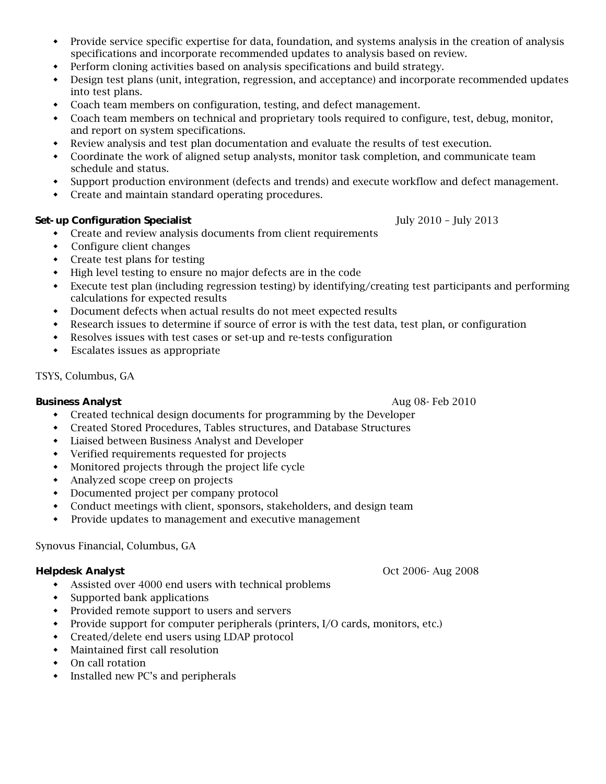- Provide service specific expertise for data, foundation, and systems analysis in the creation of analysis specifications and incorporate recommended updates to analysis based on review.
- Perform cloning activities based on analysis specifications and build strategy.
- Design test plans (unit, integration, regression, and acceptance) and incorporate recommended updates into test plans.
- Coach team members on configuration, testing, and defect management.
- Coach team members on technical and proprietary tools required to configure, test, debug, monitor, and report on system specifications.
- Review analysis and test plan documentation and evaluate the results of test execution.
- Coordinate the work of aligned setup analysts, monitor task completion, and communicate team schedule and status.
- Support production environment (defects and trends) and execute workflow and defect management.
- Create and maintain standard operating procedures.

# **Set-up Configuration Specialist July 2010 – July 2013**

- Create and review analysis documents from client requirements
- Configure client changes
- Create test plans for testing
- High level testing to ensure no major defects are in the code
- Execute test plan (including regression testing) by identifying/creating test participants and performing calculations for expected results
- Document defects when actual results do not meet expected results
- Research issues to determine if source of error is with the test data, test plan, or configuration
- Resolves issues with test cases or set-up and re-tests configuration
- Escalates issues as appropriate

# TSYS, Columbus, GA

- **Business Analyst Aug 08- Feb 2010 Aug 08- Feb 2010** 
	- Created technical design documents for programming by the Developer
	- Created Stored Procedures, Tables structures, and Database Structures
	- Liaised between Business Analyst and Developer
	- Verified requirements requested for projects
	- Monitored projects through the project life cycle
	- Analyzed scope creep on projects
	- Documented project per company protocol
	- Conduct meetings with client, sponsors, stakeholders, and design team
	- Provide updates to management and executive management

# Synovus Financial, Columbus, GA

- Assisted over 4000 end users with technical problems
- Supported bank applications
- Provided remote support to users and servers
- Provide support for computer peripherals (printers, I/O cards, monitors, etc.)
- Created/delete end users using LDAP protocol
- Maintained first call resolution
- On call rotation
- Installed new PC's and peripherals

**Helpdesk Analyst** Oct 2006- Aug 2008